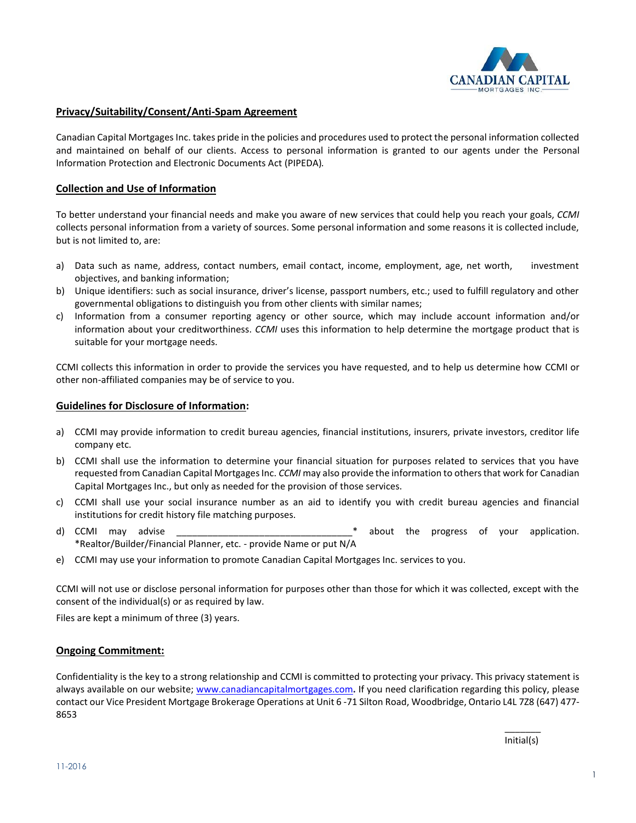

# **Privacy/Suitability/Consent/Anti-Spam Agreement**

Canadian Capital Mortgages Inc. takes pride in the policies and procedures used to protect the personal information collected and maintained on behalf of our clients. Access to personal information is granted to our agents under the Personal Information Protection and Electronic Documents Act (PIPEDA)*.* 

### **Collection and Use of Information**

To better understand your financial needs and make you aware of new services that could help you reach your goals, *CCMI* collects personal information from a variety of sources. Some personal information and some reasons it is collected include, but is not limited to, are:

- a) Data such as name, address, contact numbers, email contact, income, employment, age, net worth, investment objectives, and banking information;
- b) Unique identifiers: such as social insurance, driver's license, passport numbers, etc.; used to fulfill regulatory and other governmental obligations to distinguish you from other clients with similar names;
- c) Information from a consumer reporting agency or other source, which may include account information and/or information about your creditworthiness. *CCMI* uses this information to help determine the mortgage product that is suitable for your mortgage needs.

CCMI collects this information in order to provide the services you have requested, and to help us determine how CCMI or other non-affiliated companies may be of service to you.

#### **Guidelines for Disclosure of Information:**

- a) CCMI may provide information to credit bureau agencies, financial institutions, insurers, private investors, creditor life company etc.
- b) CCMI shall use the information to determine your financial situation for purposes related to services that you have requested from Canadian Capital Mortgages Inc. *CCMI* may also provide the information to others that work for Canadian Capital Mortgages Inc., but only as needed for the provision of those services.
- c) CCMI shall use your social insurance number as an aid to identify you with credit bureau agencies and financial institutions for credit history file matching purposes.
- d) CCMI may advise the strategies are the progress of your application. \*Realtor/Builder/Financial Planner, etc. - provide Name or put N/A
- e) CCMI may use your information to promote Canadian Capital Mortgages Inc. services to you.

CCMI will not use or disclose personal information for purposes other than those for which it was collected, except with the consent of the individual(s) or as required by law.

Files are kept a minimum of three (3) years.

# **Ongoing Commitment:**

Confidentiality is the key to a strong relationship and CCMI is committed to protecting your privacy. This privacy statement is always available on our website; [www.canadiancapitalmortgages.com](http://www.canadiancapitalmortgages.com/)**.** If you need clarification regarding this policy, please contact our Vice President Mortgage Brokerage Operations at Unit 6 -71 Silton Road, Woodbridge, Ontario L4L 7Z8 (647) 477- 8653

> $\overline{\phantom{a}}$ Initial(s)